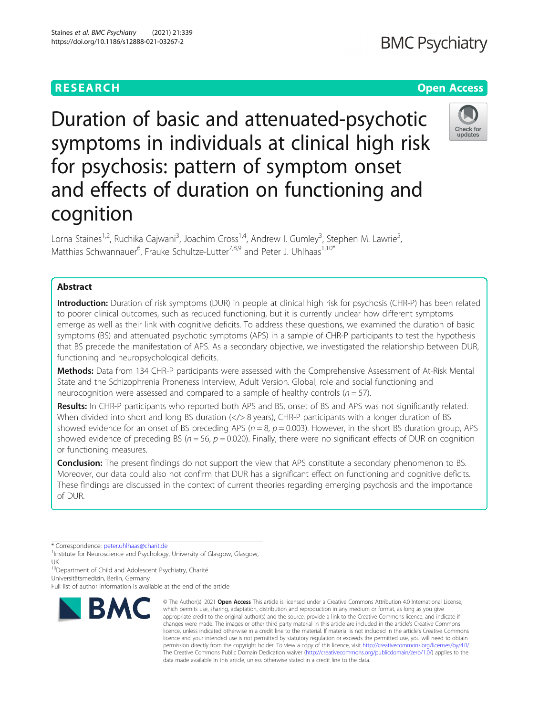## Duration of basic and attenuated-psychotic symptoms in individuals at clinical high risk for psychosis: pattern of symptom onset and effects of duration on functioning and cognition

Lorna Staines<sup>1,2</sup>, Ruchika Gajwani<sup>3</sup>, Joachim Gross<sup>1,4</sup>, Andrew I. Gumley<sup>3</sup>, Stephen M. Lawrie<sup>5</sup> , Matthias Schwannauer<sup>6</sup>, Frauke Schultze-Lutter<sup>7,8,9</sup> and Peter J. Uhlhaas<sup>1,10\*</sup>

## Abstract

Introduction: Duration of risk symptoms (DUR) in people at clinical high risk for psychosis (CHR-P) has been related to poorer clinical outcomes, such as reduced functioning, but it is currently unclear how different symptoms emerge as well as their link with cognitive deficits. To address these questions, we examined the duration of basic symptoms (BS) and attenuated psychotic symptoms (APS) in a sample of CHR-P participants to test the hypothesis that BS precede the manifestation of APS. As a secondary objective, we investigated the relationship between DUR, functioning and neuropsychological deficits.

Methods: Data from 134 CHR-P participants were assessed with the Comprehensive Assessment of At-Risk Mental State and the Schizophrenia Proneness Interview, Adult Version. Global, role and social functioning and neurocognition were assessed and compared to a sample of healthy controls ( $n = 57$ ).

Results: In CHR-P participants who reported both APS and BS, onset of BS and APS was not significantly related. When divided into short and long BS duration  $\langle \langle \rangle$  8 years), CHR-P participants with a longer duration of BS showed evidence for an onset of BS preceding APS ( $n = 8$ ,  $p = 0.003$ ). However, in the short BS duration group, APS showed evidence of preceding BS ( $n = 56$ ,  $p = 0.020$ ). Finally, there were no significant effects of DUR on cognition or functioning measures.

**Conclusion:** The present findings do not support the view that APS constitute a secondary phenomenon to BS. Moreover, our data could also not confirm that DUR has a significant effect on functioning and cognitive deficits. These findings are discussed in the context of current theories regarding emerging psychosis and the importance of DUR.

\* Correspondence: [peter.uhlhaas@charit.de](mailto:peter.uhlhaas@charit.de) <sup>1</sup>

<sup>1</sup>Institute for Neuroscience and Psychology, University of Glasgow, Glasgow, UK

<sup>10</sup>Department of Child and Adolescent Psychiatry, Charité Universitätsmedizin, Berlin, Germany

Full list of author information is available at the end of the article

# © The Author(s), 2021 **Open Access** This article is licensed under a Creative Commons Attribution 4.0 International License, **RMC**

which permits use, sharing, adaptation, distribution and reproduction in any medium or format, as long as you give appropriate credit to the original author(s) and the source, provide a link to the Creative Commons licence, and indicate if changes were made. The images or other third party material in this article are included in the article's Creative Commons licence, unless indicated otherwise in a credit line to the material. If material is not included in the article's Creative Commons licence and your intended use is not permitted by statutory regulation or exceeds the permitted use, you will need to obtain permission directly from the copyright holder. To view a copy of this licence, visit [http://creativecommons.org/licenses/by/4.0/.](http://creativecommons.org/licenses/by/4.0/) The Creative Commons Public Domain Dedication waiver [\(http://creativecommons.org/publicdomain/zero/1.0/](http://creativecommons.org/publicdomain/zero/1.0/)) applies to the data made available in this article, unless otherwise stated in a credit line to the data.





## **RESEARCH CHEART CONTROL**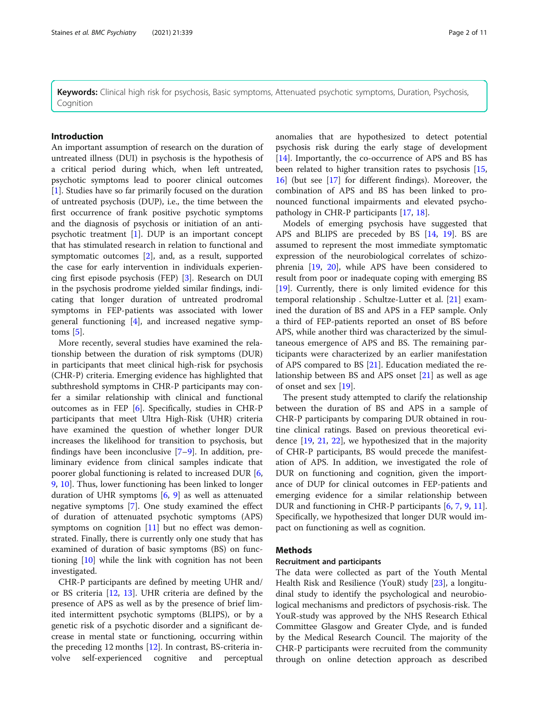Keywords: Clinical high risk for psychosis, Basic symptoms, Attenuated psychotic symptoms, Duration, Psychosis, Cognition

## Introduction

An important assumption of research on the duration of untreated illness (DUI) in psychosis is the hypothesis of a critical period during which, when left untreated, psychotic symptoms lead to poorer clinical outcomes [[1\]](#page-9-0). Studies have so far primarily focused on the duration of untreated psychosis (DUP), i.e., the time between the first occurrence of frank positive psychotic symptoms and the diagnosis of psychosis or initiation of an antipsychotic treatment [[1\]](#page-9-0). DUP is an important concept that has stimulated research in relation to functional and symptomatic outcomes [\[2](#page-9-0)], and, as a result, supported the case for early intervention in individuals experiencing first episode psychosis (FEP) [\[3\]](#page-9-0). Research on DUI in the psychosis prodrome yielded similar findings, indicating that longer duration of untreated prodromal symptoms in FEP-patients was associated with lower general functioning [[4\]](#page-9-0), and increased negative symptoms  $[5]$ .

More recently, several studies have examined the relationship between the duration of risk symptoms (DUR) in participants that meet clinical high-risk for psychosis (CHR-P) criteria. Emerging evidence has highlighted that subthreshold symptoms in CHR-P participants may confer a similar relationship with clinical and functional outcomes as in FEP [\[6](#page-9-0)]. Specifically, studies in CHR-P participants that meet Ultra High-Risk (UHR) criteria have examined the question of whether longer DUR increases the likelihood for transition to psychosis, but findings have been inconclusive  $[7-9]$  $[7-9]$  $[7-9]$  $[7-9]$ . In addition, preliminary evidence from clinical samples indicate that poorer global functioning is related to increased DUR [\[6](#page-9-0), [9,](#page-9-0) [10\]](#page-9-0). Thus, lower functioning has been linked to longer duration of UHR symptoms [[6](#page-9-0), [9](#page-9-0)] as well as attenuated negative symptoms [\[7](#page-9-0)]. One study examined the effect of duration of attenuated psychotic symptoms (APS) symptoms on cognition [\[11](#page-9-0)] but no effect was demonstrated. Finally, there is currently only one study that has examined of duration of basic symptoms (BS) on functioning [[10\]](#page-9-0) while the link with cognition has not been investigated.

CHR-P participants are defined by meeting UHR and/ or BS criteria [[12](#page-9-0), [13](#page-9-0)]. UHR criteria are defined by the presence of APS as well as by the presence of brief limited intermittent psychotic symptoms (BLIPS), or by a genetic risk of a psychotic disorder and a significant decrease in mental state or functioning, occurring within the preceding 12 months [[12](#page-9-0)]. In contrast, BS-criteria involve self-experienced cognitive and perceptual anomalies that are hypothesized to detect potential psychosis risk during the early stage of development [[14\]](#page-9-0). Importantly, the co-occurrence of APS and BS has been related to higher transition rates to psychosis [[15](#page-9-0), [16\]](#page-9-0) (but see [[17\]](#page-9-0) for different findings). Moreover, the combination of APS and BS has been linked to pronounced functional impairments and elevated psychopathology in CHR-P participants [[17,](#page-9-0) [18\]](#page-9-0).

Models of emerging psychosis have suggested that APS and BLIPS are preceded by BS [\[14](#page-9-0), [19](#page-9-0)]. BS are assumed to represent the most immediate symptomatic expression of the neurobiological correlates of schizophrenia [\[19](#page-9-0), [20](#page-9-0)], while APS have been considered to result from poor or inadequate coping with emerging BS [[19\]](#page-9-0). Currently, there is only limited evidence for this temporal relationship . Schultze-Lutter et al. [[21](#page-9-0)] examined the duration of BS and APS in a FEP sample. Only a third of FEP-patients reported an onset of BS before APS, while another third was characterized by the simultaneous emergence of APS and BS. The remaining participants were characterized by an earlier manifestation of APS compared to BS [\[21\]](#page-9-0). Education mediated the relationship between BS and APS onset [\[21](#page-9-0)] as well as age of onset and sex [[19](#page-9-0)].

The present study attempted to clarify the relationship between the duration of BS and APS in a sample of CHR-P participants by comparing DUR obtained in routine clinical ratings. Based on previous theoretical evidence [\[19](#page-9-0), [21,](#page-9-0) [22](#page-9-0)], we hypothesized that in the majority of CHR-P participants, BS would precede the manifestation of APS. In addition, we investigated the role of DUR on functioning and cognition, given the importance of DUP for clinical outcomes in FEP-patients and emerging evidence for a similar relationship between DUR and functioning in CHR-P participants [\[6](#page-9-0), [7](#page-9-0), [9](#page-9-0), [11](#page-9-0)]. Specifically, we hypothesized that longer DUR would impact on functioning as well as cognition.

## Methods

## Recruitment and participants

The data were collected as part of the Youth Mental Health Risk and Resilience (YouR) study [[23\]](#page-9-0), a longitudinal study to identify the psychological and neurobiological mechanisms and predictors of psychosis-risk. The YouR-study was approved by the NHS Research Ethical Committee Glasgow and Greater Clyde, and is funded by the Medical Research Council. The majority of the CHR-P participants were recruited from the community through on online detection approach as described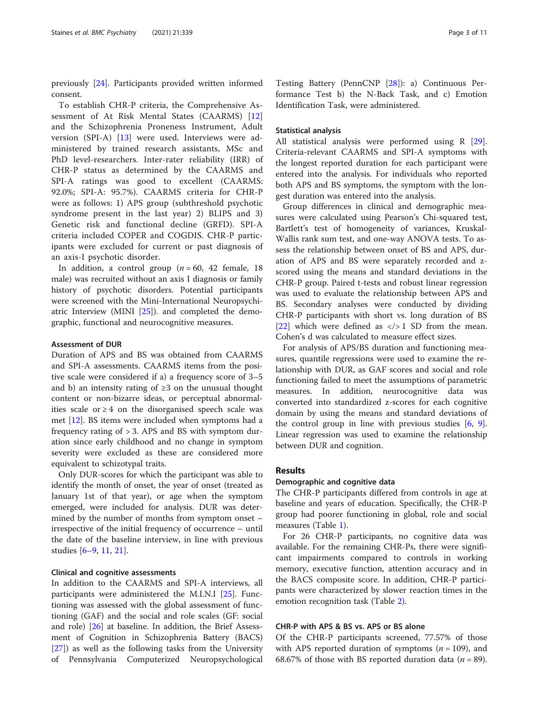previously [[24\]](#page-9-0). Participants provided written informed consent.

To establish CHR-P criteria, the Comprehensive Assessment of At Risk Mental States (CAARMS) [\[12](#page-9-0)] and the Schizophrenia Proneness Instrument, Adult version (SPI-A) [\[13](#page-9-0)] were used. Interviews were administered by trained research assistants, MSc and PhD level-researchers. Inter-rater reliability (IRR) of CHR-P status as determined by the CAARMS and SPI-A ratings was good to excellent (CAARMS: 92.0%; SPI-A: 95.7%). CAARMS criteria for CHR-P were as follows: 1) APS group (subthreshold psychotic syndrome present in the last year) 2) BLIPS and 3) Genetic risk and functional decline (GRFD). SPI-A criteria included COPER and COGDIS. CHR-P participants were excluded for current or past diagnosis of an axis-I psychotic disorder.

In addition, a control group  $(n = 60, 42$  female, 18 male) was recruited without an axis I diagnosis or family history of psychotic disorders. Potential participants were screened with the Mini-International Neuropsychiatric Interview (MINI [[25](#page-9-0)]). and completed the demographic, functional and neurocognitive measures.

## Assessment of DUR

Duration of APS and BS was obtained from CAARMS and SPI-A assessments. CAARMS items from the positive scale were considered if a) a frequency score of 3–5 and b) an intensity rating of  $\geq 3$  on the unusual thought content or non-bizarre ideas, or perceptual abnormalities scale or  $\geq 4$  on the disorganised speech scale was met [[12\]](#page-9-0). BS items were included when symptoms had a frequency rating of > 3. APS and BS with symptom duration since early childhood and no change in symptom severity were excluded as these are considered more equivalent to schizotypal traits.

Only DUR-scores for which the participant was able to identify the month of onset, the year of onset (treated as January 1st of that year), or age when the symptom emerged, were included for analysis. DUR was determined by the number of months from symptom onset – irrespective of the initial frequency of occurrence – until the date of the baseline interview, in line with previous studies [\[6](#page-9-0)–[9,](#page-9-0) [11,](#page-9-0) [21\]](#page-9-0).

## Clinical and cognitive assessments

In addition to the CAARMS and SPI-A interviews, all participants were administered the M.I.N.I [[25\]](#page-9-0). Functioning was assessed with the global assessment of functioning (GAF) and the social and role scales (GF: social and role) [[26](#page-9-0)] at baseline. In addition, the Brief Assessment of Cognition in Schizophrenia Battery (BACS) [[27\]](#page-10-0)) as well as the following tasks from the University of Pennsylvania Computerized Neuropsychological

Testing Battery (PennCNP [\[28](#page-10-0)]): a) Continuous Performance Test b) the N-Back Task, and c) Emotion Identification Task, were administered.

## Statistical analysis

All statistical analysis were performed using R [\[29](#page-10-0)]. Criteria-relevant CAARMS and SPI-A symptoms with the longest reported duration for each participant were entered into the analysis. For individuals who reported both APS and BS symptoms, the symptom with the longest duration was entered into the analysis.

Group differences in clinical and demographic measures were calculated using Pearson's Chi-squared test, Bartlett's test of homogeneity of variances, Kruskal-Wallis rank sum test, and one-way ANOVA tests. To assess the relationship between onset of BS and APS, duration of APS and BS were separately recorded and zscored using the means and standard deviations in the CHR-P group. Paired t-tests and robust linear regression was used to evaluate the relationship between APS and BS. Secondary analyses were conducted by dividing CHR-P participants with short vs. long duration of BS [[22\]](#page-9-0) which were defined as  $\langle \rangle > 1$  SD from the mean. Cohen's d was calculated to measure effect sizes.

For analysis of APS/BS duration and functioning measures, quantile regressions were used to examine the relationship with DUR, as GAF scores and social and role functioning failed to meet the assumptions of parametric measures. In addition, neurocognitive data was converted into standardized z-scores for each cognitive domain by using the means and standard deviations of the control group in line with previous studies [\[6](#page-9-0), [9](#page-9-0)]. Linear regression was used to examine the relationship between DUR and cognition.

## Results

## Demographic and cognitive data

The CHR-P participants differed from controls in age at baseline and years of education. Specifically, the CHR-P group had poorer functioning in global, role and social measures (Table [1\)](#page-3-0).

For 26 CHR-P participants, no cognitive data was available. For the remaining CHR-Ps, there were significant impairments compared to controls in working memory, executive function, attention accuracy and in the BACS composite score. In addition, CHR-P participants were characterized by slower reaction times in the emotion recognition task (Table [2](#page-4-0)).

## CHR-P with APS & BS vs. APS or BS alone

Of the CHR-P participants screened, 77.57% of those with APS reported duration of symptoms  $(n = 109)$ , and 68.67% of those with BS reported duration data ( $n = 89$ ).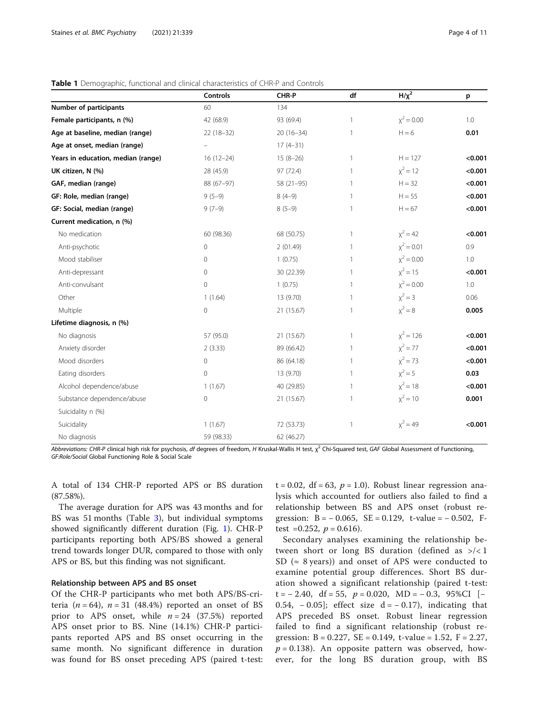<span id="page-3-0"></span>

| Table 1 Demographic, functional and clinical characteristics of CHR-P and Controls |  |
|------------------------------------------------------------------------------------|--|
|------------------------------------------------------------------------------------|--|

|                                    | Controls     | CHR-P       | df           | $H/\chi^2$   | p       |
|------------------------------------|--------------|-------------|--------------|--------------|---------|
| Number of participants             | 60           | 134         |              |              |         |
| Female participants, n (%)         | 42 (68.9)    | 93 (69.4)   | $\mathbf{1}$ | $x^2 = 0.00$ | 1.0     |
| Age at baseline, median (range)    | $22(18-32)$  | $20(16-34)$ | 1            | $H = 6$      | 0.01    |
| Age at onset, median (range)       |              | $17(4-31)$  |              |              |         |
| Years in education, median (range) | $16(12-24)$  | $15(8-26)$  | $\mathbf{1}$ | $H = 127$    | < 0.001 |
| UK citizen, N (%)                  | 28 (45.9)    | 97 (72.4)   | $\mathbf{1}$ | $x^2 = 12$   | < 0.001 |
| GAF, median (range)                | 88 (67-97)   | 58 (21-95)  | 1            | $H = 32$     | < 0.001 |
| GF: Role, median (range)           | $9(5-9)$     | $8(4-9)$    | $\mathbf{1}$ | $H = 55$     | < 0.001 |
| GF: Social, median (range)         | $9(7-9)$     | $8(5-9)$    | 1            | $H = 67$     | < 0.001 |
| Current medication, n (%)          |              |             |              |              |         |
| No medication                      | 60 (98.36)   | 68 (50.75)  | 1            | $x^2 = 42$   | < 0.001 |
| Anti-psychotic                     | $\mathbf{0}$ | 2(01.49)    | $\mathbf{1}$ | $x^2 = 0.01$ | 0.9     |
| Mood stabiliser                    | $\mathbf 0$  | 1(0.75)     | $\mathbf{1}$ | $x^2 = 0.00$ | 1.0     |
| Anti-depressant                    | $\mathbf 0$  | 30 (22.39)  | $\mathbf{1}$ | $x^2 = 15$   | < 0.001 |
| Anti-convulsant                    | $\circ$      | 1(0.75)     | $\mathbf{1}$ | $x^2 = 0.00$ | 1.0     |
| Other                              | 1(1.64)      | 13 (9.70)   | $\mathbf{1}$ | $x^2 = 3$    | 0.06    |
| Multiple                           | $\mathbf 0$  | 21 (15.67)  | 1            | $x^2 = 8$    | 0.005   |
| Lifetime diagnosis, n (%)          |              |             |              |              |         |
| No diagnosis                       | 57 (95.0)    | 21 (15.67)  | $\mathbf{1}$ | $x^2 = 126$  | < 0.001 |
| Anxiety disorder                   | 2(3.33)      | 89 (66.42)  | $\mathbf{1}$ | $x^2 = 77$   | < 0.001 |
| Mood disorders                     | $\mathbf 0$  | 86 (64.18)  | 1            | $x^2 = 73$   | < 0.001 |
| Eating disorders                   | $\mathbf{0}$ | 13 (9.70)   | $\mathbf{1}$ | $x^2 = 5$    | 0.03    |
| Alcohol dependence/abuse           | 1(1.67)      | 40 (29.85)  | $\mathbf{1}$ | $x^2 = 18$   | < 0.001 |
| Substance dependence/abuse         | $\mathbf 0$  | 21 (15.67)  | 1            | $x^2 = 10$   | 0.001   |
| Suicidality n (%)                  |              |             |              |              |         |
| Suicidality                        | 1(1.67)      | 72 (53.73)  | 1            | $x^2 = 49$   | < 0.001 |
| No diagnosis                       | 59 (98.33)   | 62 (46.27)  |              |              |         |

Abbreviations: CHR-P clinical high risk for psychosis, df degrees of freedom, H Kruskal-Wallis H test,  $\chi^2$  Chi-Squared test, GAF Global Assessment of Functioning, GF:Role/Social Global Functioning Role & Social Scale

A total of 134 CHR-P reported APS or BS duration (87.58%).

The average duration for APS was 43 months and for BS was 51 months (Table [3](#page-5-0)), but individual symptoms showed significantly different duration (Fig. [1](#page-6-0)). CHR-P participants reporting both APS/BS showed a general trend towards longer DUR, compared to those with only APS or BS, but this finding was not significant.

## Relationship between APS and BS onset

Of the CHR-P participants who met both APS/BS-criteria ( $n = 64$ ),  $n = 31$  (48.4%) reported an onset of BS prior to APS onset, while  $n = 24$  (37.5%) reported APS onset prior to BS. Nine (14.1%) CHR-P participants reported APS and BS onset occurring in the same month. No significant difference in duration was found for BS onset preceding APS (paired t-test:  $t = 0.02$ , df = 63,  $p = 1.0$ ). Robust linear regression analysis which accounted for outliers also failed to find a relationship between BS and APS onset (robust regression:  $B = -0.065$ ,  $SE = 0.129$ , t-value =  $-0.502$ , Ftest =0.252,  $p = 0.616$ ).

Secondary analyses examining the relationship between short or long BS duration (defined as  $\frac{>}{<}1$ ) SD ( $\approx$  8 years)) and onset of APS were conducted to examine potential group differences. Short BS duration showed a significant relationship (paired t-test: t =  $-$  2.40, df = 55,  $p = 0.020$ , MD =  $-$  0.3, 95%CI [ $-$ 0.54,  $-0.05$ ]; effect size d =  $-0.17$ ), indicating that APS preceded BS onset. Robust linear regression failed to find a significant relationship (robust regression:  $B = 0.227$ ,  $SE = 0.149$ , t-value = 1.52,  $F = 2.27$ ,  $p = 0.138$ ). An opposite pattern was observed, however, for the long BS duration group, with BS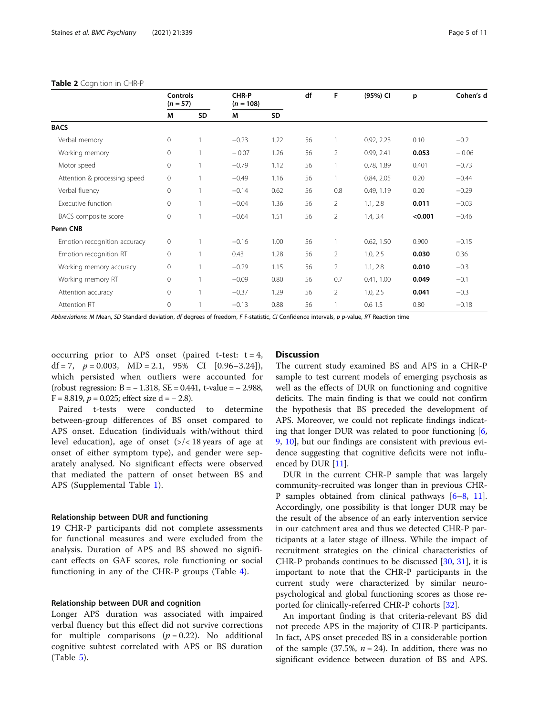## <span id="page-4-0"></span>Table 2 Cognition in CHR-P

|                              | <b>Controls</b><br>$(n = 57)$ |    | CHR-P<br>$(n = 108)$ |      | df | F              | (95%) CI   | p       | Cohen's d |
|------------------------------|-------------------------------|----|----------------------|------|----|----------------|------------|---------|-----------|
|                              | М                             | SD | M                    | SD   |    |                |            |         |           |
| <b>BACS</b>                  |                               |    |                      |      |    |                |            |         |           |
| Verbal memory                | 0                             |    | $-0.23$              | 1.22 | 56 |                | 0.92, 2.23 | 0.10    | $-0.2$    |
| Working memory               | $\mathsf{O}\xspace$           |    | $-0.07$              | 1.26 | 56 | $\overline{2}$ | 0.99, 2.41 | 0.053   | $-0.06$   |
| Motor speed                  | $\mathsf{O}\xspace$           |    | $-0.79$              | 1.12 | 56 |                | 0.78, 1.89 | 0.401   | $-0.73$   |
| Attention & processing speed | 0                             |    | $-0.49$              | 1.16 | 56 |                | 0.84, 2.05 | 0.20    | $-0.44$   |
| Verbal fluency               | $\circ$                       |    | $-0.14$              | 0.62 | 56 | 0.8            | 0.49, 1.19 | 0.20    | $-0.29$   |
| Executive function           | $\circ$                       |    | $-0.04$              | 1.36 | 56 | $\overline{2}$ | 1.1, 2.8   | 0.011   | $-0.03$   |
| BACS composite score         | $\circ$                       |    | $-0.64$              | 1.51 | 56 | $\overline{2}$ | 1.4, 3.4   | < 0.001 | $-0.46$   |
| Penn CNB                     |                               |    |                      |      |    |                |            |         |           |
| Emotion recognition accuracy | 0                             |    | $-0.16$              | 1.00 | 56 |                | 0.62, 1.50 | 0.900   | $-0.15$   |
| Emotion recognition RT       | 0                             |    | 0.43                 | 1.28 | 56 | 2              | 1.0, 2.5   | 0.030   | 0.36      |
| Working memory accuracy      | 0                             |    | $-0.29$              | 1.15 | 56 | $\overline{2}$ | 1.1, 2.8   | 0.010   | $-0.3$    |
| Working memory RT            | $\mathsf{O}\xspace$           |    | $-0.09$              | 0.80 | 56 | 0.7            | 0.41, 1.00 | 0.049   | $-0.1$    |
| Attention accuracy           | 0                             |    | $-0.37$              | 1.29 | 56 | 2              | 1.0, 2.5   | 0.041   | $-0.3$    |
| Attention RT                 | $\circ$                       |    | $-0.13$              | 0.88 | 56 |                | 0.61.5     | 0.80    | $-0.18$   |

Abbreviations: M Mean, SD Standard deviation, df degrees of freedom, F F-statistic, CI Confidence intervals, p p-value, RT Reaction time

occurring prior to APS onset (paired t-test:  $t = 4$ , df = 7,  $p = 0.003$ , MD = 2.1, 95% CI  $[0.96-3.24]$ , which persisted when outliers were accounted for (robust regression: B = − 1.318, SE = 0.441, t-value = − 2.988, F = 8.819,  $p = 0.025$ ; effect size d = - 2.8).

Paired t-tests were conducted to determine between-group differences of BS onset compared to APS onset. Education (individuals with/without third level education), age of onset  $\left(\frac{2}{5}\right)$  age at level and age at onset of either symptom type), and gender were separately analysed. No significant effects were observed that mediated the pattern of onset between BS and APS (Supplemental Table [1\)](#page-8-0).

## Relationship between DUR and functioning

19 CHR-P participants did not complete assessments for functional measures and were excluded from the analysis. Duration of APS and BS showed no significant effects on GAF scores, role functioning or social functioning in any of the CHR-P groups (Table [4\)](#page-6-0).

## Relationship between DUR and cognition

Longer APS duration was associated with impaired verbal fluency but this effect did not survive corrections for multiple comparisons  $(p = 0.22)$ . No additional cognitive subtest correlated with APS or BS duration (Table [5](#page-7-0)).

## **Discussion**

The current study examined BS and APS in a CHR-P sample to test current models of emerging psychosis as well as the effects of DUR on functioning and cognitive deficits. The main finding is that we could not confirm the hypothesis that BS preceded the development of APS. Moreover, we could not replicate findings indicating that longer DUR was related to poor functioning  $[6, 6]$  $[6, 6]$ [9,](#page-9-0) [10\]](#page-9-0), but our findings are consistent with previous evidence suggesting that cognitive deficits were not influ-enced by DUR [\[11](#page-9-0)].

DUR in the current CHR-P sample that was largely community-recruited was longer than in previous CHR-P samples obtained from clinical pathways [\[6](#page-9-0)–[8,](#page-9-0) [11](#page-9-0)]. Accordingly, one possibility is that longer DUR may be the result of the absence of an early intervention service in our catchment area and thus we detected CHR-P participants at a later stage of illness. While the impact of recruitment strategies on the clinical characteristics of CHR-P probands continues to be discussed [[30,](#page-10-0) [31\]](#page-10-0), it is important to note that the CHR-P participants in the current study were characterized by similar neuropsychological and global functioning scores as those reported for clinically-referred CHR-P cohorts [[32](#page-10-0)].

An important finding is that criteria-relevant BS did not precede APS in the majority of CHR-P participants. In fact, APS onset preceded BS in a considerable portion of the sample (37.5%,  $n = 24$ ). In addition, there was no significant evidence between duration of BS and APS.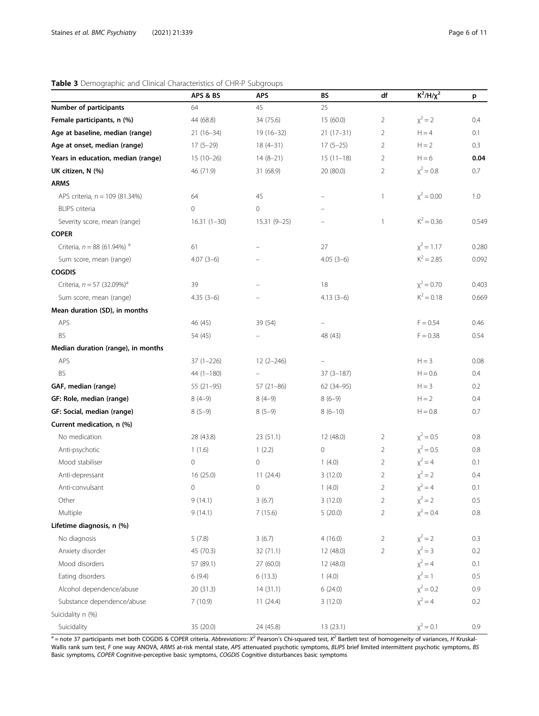## <span id="page-5-0"></span>Table 3 Demographic and Clinical Characteristics of CHR-P Subgroups

|                                          | APS & BS      | <b>APS</b>    | BS            | df             | $K^2/H/\chi^2$ | p       |
|------------------------------------------|---------------|---------------|---------------|----------------|----------------|---------|
| Number of participants                   | 64            | 45            | 25            |                |                |         |
| Female participants, n (%)               | 44 (68.8)     | 34 (75.6)     | 15 (60.0)     | $\overline{2}$ | $x^2 = 2$      | 0.4     |
| Age at baseline, median (range)          | $21(16-34)$   | $19(16-32)$   | $21(17-31)$   | $\overline{2}$ | $H = 4$        | 0.1     |
| Age at onset, median (range)             | $17(5-29)$    | $18(4-31)$    | $17(5-25)$    | $\overline{2}$ | $H = 2$        | 0.3     |
| Years in education, median (range)       | $15(10-26)$   | $14(8-21)$    | $15(11-18)$   | $\overline{2}$ | $H = 6$        | 0.04    |
| UK citizen, N (%)                        | 46 (71.9)     | 31 (68.9)     | 20 (80.0)     | $\overline{2}$ | $x^2 = 0.8$    | 0.7     |
| <b>ARMS</b>                              |               |               |               |                |                |         |
| APS criteria, n = 109 (81.34%)           | 64            | 45            |               | $\mathbf{1}$   | $x^2 = 0.00$   | 1.0     |
| <b>BLIPS</b> criteria                    | 0             | 0             |               |                |                |         |
| Severity score, mean (range)             | $16.31(1-30)$ | $15.31(9-25)$ |               | $\mathbf{1}$   | $K^2 = 0.36$   | 0.549   |
| <b>COPER</b>                             |               |               |               |                |                |         |
| Criteria, $n = 88$ (61.94%) <sup>a</sup> | 61            |               | 27            |                | $x^2 = 1.17$   | 0.280   |
| Sum score, mean (range)                  | $4.07(3-6)$   |               | $4.05(3-6)$   |                | $K^2 = 2.85$   | 0.092   |
| <b>COGDIS</b>                            |               |               |               |                |                |         |
| Criteria, $n = 57$ (32.09%) <sup>a</sup> | 39            |               | 18            |                | $x^2 = 0.70$   | 0.403   |
| Sum score, mean (range)                  | $4.35(3-6)$   |               | $4.13(3-6)$   |                | $K^2 = 0.18$   | 0.669   |
| Mean duration (SD), in months            |               |               |               |                |                |         |
| APS                                      | 46 (45)       | 39 (54)       |               |                | $F = 0.54$     | 0.46    |
| <b>BS</b>                                | 54 (45)       |               | 48 (43)       |                | $F = 0.38$     | 0.54    |
| Median duration (range), in months       |               |               |               |                |                |         |
| APS                                      | $37(1-226)$   | $12(2 - 246)$ |               |                | $H = 3$        | 0.08    |
| <b>BS</b>                                | $44(1-180)$   |               | $37(3 - 187)$ |                | $H = 0.6$      | 0.4     |
| GAF, median (range)                      | $55(21-95)$   | $57(21-86)$   | 62 (34-95)    |                | $H = 3$        | 0.2     |
| GF: Role, median (range)                 | $8(4-9)$      | $8(4-9)$      | $8(6-9)$      |                | $H = 2$        | 0.4     |
| GF: Social, median (range)               | $8(5-9)$      | $8(5-9)$      | $8(6-10)$     |                | $H = 0.8$      | 0.7     |
| Current medication, n (%)                |               |               |               |                |                |         |
| No medication                            | 28 (43.8)     | 23(51.1)      | 12 (48.0)     | $\overline{2}$ | $x^2 = 0.5$    | 0.8     |
| Anti-psychotic                           | 1(1.6)        | 1(2.2)        | 0             | $\overline{2}$ | $x^2 = 0.5$    | 0.8     |
| Mood stabiliser                          | $\circ$       | 0             | 1(4.0)        | $\overline{2}$ | $x^2 = 4$      | 0.1     |
| Anti-depressant                          | 16 (25.0)     | 11(24.4)      | 3(12.0)       | $\overline{2}$ | $x^2 = 2$      | 0.4     |
| Anti-convulsant                          | $\mathbf 0$   | 0             | 1(4.0)        | $\overline{2}$ | $x^2 = 4$      | 0.1     |
| Other                                    | 9(14.1)       | 3(6.7)        | 3(12.0)       | 2              | $x^2 = 2$      | 0.5     |
| Multiple                                 | 9(14.1)       | 7(15.6)       | 5(20.0)       | $\overline{2}$ | $x^2 = 0.4$    | $0.8\,$ |
| Lifetime diagnosis, n (%)                |               |               |               |                |                |         |
| No diagnosis                             | 5(7.8)        | 3(6.7)        | 4(16.0)       | $\overline{2}$ | $x^2 = 2$      | 0.3     |
| Anxiety disorder                         | 45 (70.3)     | 32(71.1)      | 12 (48.0)     | $\overline{2}$ | $x^2 = 3$      | 0.2     |
| Mood disorders                           | 57 (89.1)     | 27 (60.0)     | 12 (48.0)     |                | $x^2 = 4$      | 0.1     |
| Eating disorders                         | 6(9.4)        | 6(13.3)       | 1(4.0)        |                | $x^2 = 1$      | 0.5     |
| Alcohol dependence/abuse                 | 20 (31.3)     | 14(31.1)      | 6(24.0)       |                | $x^2 = 0.2$    | 0.9     |
| Substance dependence/abuse               | 7(10.9)       | 11(24.4)      | 3(12.0)       |                | $x^2 = 4$      | 0.2     |
| Suicidality n (%)                        |               |               |               |                |                |         |
| Suicidality                              | 35 (20.0)     | 24 (45.8)     | 13(23.1)      |                | $x^2 = 0.1$    | 0.9     |

 $a$  = note 37 participants met both COGDIS & COPER criteria. Abbreviations:  $X^2$  Pearson's Chi-squared test,  $K^2$  Bartlett test of homogeneity of variances, H Kruskal-Wallis rank sum test, F one way ANOVA, ARMS at-risk mental state, APS attenuated psychotic symptoms, BLIPS brief limited intermittent psychotic symptoms, BS Basic symptoms, COPER Cognitive-perceptive basic symptoms, COGDIS Cognitive disturbances basic symptoms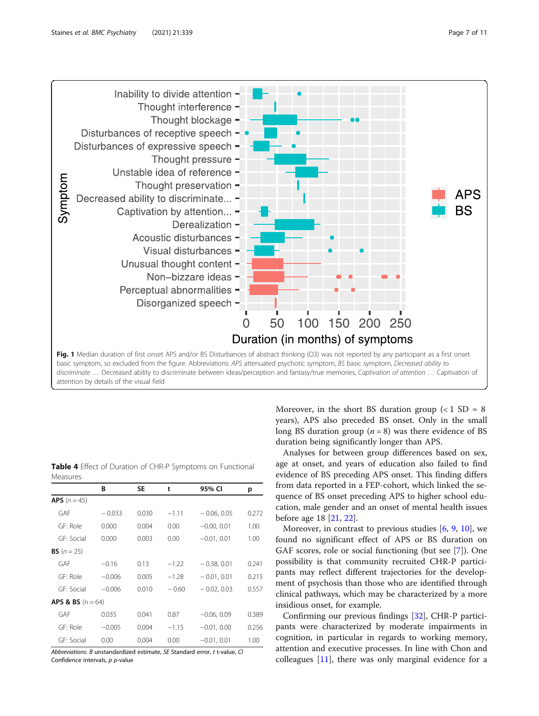<span id="page-6-0"></span>

|                                | В        | SE    | t       | 95% CI        | р     |
|--------------------------------|----------|-------|---------|---------------|-------|
| <b>APS</b> $(n = 45)$          |          |       |         |               |       |
| GAF                            | $-0.033$ | 0.030 | $-1.11$ | $-0.06, 0.05$ | 0.272 |
| GE: Role                       | 0.000    | 0.004 | 0.00    | $-0.00, 0.01$ | 1.00  |
| GE: Social                     | 0.000    | 0.003 | 0.00    | $-0.01, 0.01$ | 1.00  |
| <b>BS</b> $(n = 25)$           |          |       |         |               |       |
| GAF                            | $-0.16$  | 0.13  | $-1.22$ | $-0.38, 0.01$ | 0.241 |
| GF: Role                       | $-0.006$ | 0.005 | $-1.28$ | $-0.01, 0.01$ | 0.215 |
| GE: Social                     | $-0.006$ | 0.010 | $-0.60$ | $-0.02, 0.03$ | 0.557 |
| <b>APS &amp; BS</b> $(n = 64)$ |          |       |         |               |       |
| GAF                            | 0.035    | 0.041 | 0.87    | $-0.06, 0.09$ | 0.389 |
| GF: Role                       | $-0.005$ | 0.004 | $-1.15$ | $-0.01, 0.00$ | 0.256 |
| GE: Social                     | 0.00     | 0.004 | 0.00    | $-0.01, 0.01$ | 1.00  |

Table 4 Effect of Duration of CHR-P Symptoms on Functional

Moreover, in the short BS duration group (<1 SD  $\approx$  8 years), APS also preceded BS onset. Only in the small long BS duration group ( $n = 8$ ) was there evidence of BS duration being significantly longer than APS.

Analyses for between group differences based on sex, age at onset, and years of education also failed to find evidence of BS preceding APS onset. This finding differs from data reported in a FEP-cohort, which linked the sequence of BS onset preceding APS to higher school education, male gender and an onset of mental health issues before age 18 [[21](#page-9-0), [22](#page-9-0)].

Moreover, in contrast to previous studies  $[6, 9, 10]$  $[6, 9, 10]$  $[6, 9, 10]$  $[6, 9, 10]$  $[6, 9, 10]$  $[6, 9, 10]$ , we found no significant effect of APS or BS duration on GAF scores, role or social functioning (but see [\[7](#page-9-0)]). One possibility is that community recruited CHR-P participants may reflect different trajectories for the development of psychosis than those who are identified through clinical pathways, which may be characterized by a more insidious onset, for example.

Confirming our previous findings [[32\]](#page-10-0), CHR-P participants were characterized by moderate impairments in cognition, in particular in regards to working memory, attention and executive processes. In line with Chon and colleagues [[11](#page-9-0)], there was only marginal evidence for a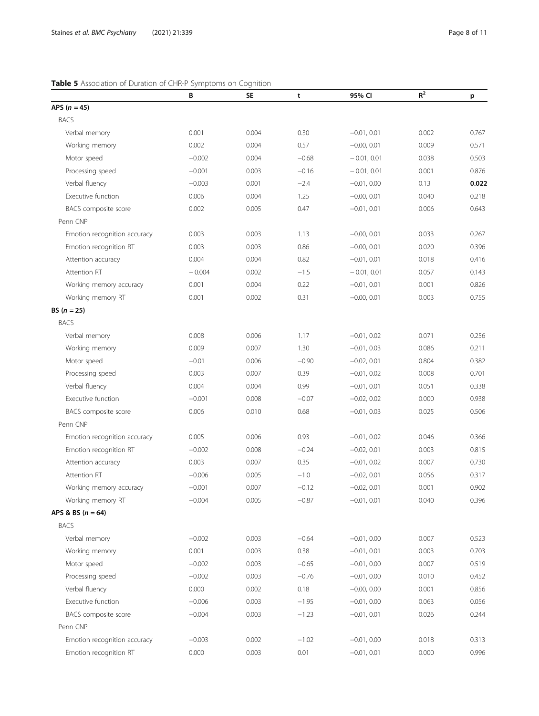## <span id="page-7-0"></span>Table 5 Association of Duration of CHR-P Symptoms on Cognition

|                              | В        | <b>SE</b> | t       | 95% CI        | $R^2$ | p     |
|------------------------------|----------|-----------|---------|---------------|-------|-------|
| APS $(n = 45)$               |          |           |         |               |       |       |
| <b>BACS</b>                  |          |           |         |               |       |       |
| Verbal memory                | 0.001    | 0.004     | 0.30    | $-0.01, 0.01$ | 0.002 | 0.767 |
| Working memory               | 0.002    | 0.004     | 0.57    | $-0.00.001$   | 0.009 | 0.571 |
| Motor speed                  | $-0.002$ | 0.004     | $-0.68$ | $-0.01, 0.01$ | 0.038 | 0.503 |
| Processing speed             | $-0.001$ | 0.003     | $-0.16$ | $-0.01, 0.01$ | 0.001 | 0.876 |
| Verbal fluency               | $-0.003$ | 0.001     | $-2.4$  | $-0.01, 0.00$ | 0.13  | 0.022 |
| Executive function           | 0.006    | 0.004     | 1.25    | $-0.00, 0.01$ | 0.040 | 0.218 |
| BACS composite score         | 0.002    | 0.005     | 0.47    | $-0.01, 0.01$ | 0.006 | 0.643 |
| Penn CNP                     |          |           |         |               |       |       |
| Emotion recognition accuracy | 0.003    | 0.003     | 1.13    | $-0.00, 0.01$ | 0.033 | 0.267 |
| Emotion recognition RT       | 0.003    | 0.003     | 0.86    | $-0.00, 0.01$ | 0.020 | 0.396 |
| Attention accuracy           | 0.004    | 0.004     | 0.82    | $-0.01, 0.01$ | 0.018 | 0.416 |
| Attention RT                 | $-0.004$ | 0.002     | $-1.5$  | $-0.01, 0.01$ | 0.057 | 0.143 |
| Working memory accuracy      | 0.001    | 0.004     | 0.22    | $-0.01, 0.01$ | 0.001 | 0.826 |
| Working memory RT            | 0.001    | 0.002     | 0.31    | $-0.00, 0.01$ | 0.003 | 0.755 |
| BS $(n = 25)$                |          |           |         |               |       |       |
| <b>BACS</b>                  |          |           |         |               |       |       |
| Verbal memory                | 0.008    | 0.006     | 1.17    | $-0.01, 0.02$ | 0.071 | 0.256 |
| Working memory               | 0.009    | 0.007     | 1.30    | $-0.01, 0.03$ | 0.086 | 0.211 |
| Motor speed                  | $-0.01$  | 0.006     | $-0.90$ | $-0.02, 0.01$ | 0.804 | 0.382 |
| Processing speed             | 0.003    | 0.007     | 0.39    | $-0.01, 0.02$ | 0.008 | 0.701 |
| Verbal fluency               | 0.004    | 0.004     | 0.99    | $-0.01, 0.01$ | 0.051 | 0.338 |
| Executive function           | $-0.001$ | 0.008     | $-0.07$ | $-0.02, 0.02$ | 0.000 | 0.938 |
| BACS composite score         | 0.006    | 0.010     | 0.68    | $-0.01, 0.03$ | 0.025 | 0.506 |
| Penn CNP                     |          |           |         |               |       |       |
| Emotion recognition accuracy | 0.005    | 0.006     | 0.93    | $-0.01, 0.02$ | 0.046 | 0.366 |
| Emotion recognition RT       | $-0.002$ | 0.008     | $-0.24$ | $-0.02, 0.01$ | 0.003 | 0.815 |
| Attention accuracy           | 0.003    | 0.007     | 0.35    | $-0.01, 0.02$ | 0.007 | 0.730 |
| Attention RT                 | $-0.006$ | 0.005     | $-1.0$  | $-0.02, 0.01$ | 0.056 | 0.317 |
| Working memory accuracy      | $-0.001$ | 0.007     | $-0.12$ | $-0.02, 0.01$ | 0.001 | 0.902 |
| Working memory RT            | $-0.004$ | 0.005     | $-0.87$ | $-0.01, 0.01$ | 0.040 | 0.396 |
| APS & BS $(n = 64)$          |          |           |         |               |       |       |
| <b>BACS</b>                  |          |           |         |               |       |       |
| Verbal memory                | $-0.002$ | 0.003     | $-0.64$ | $-0.01, 0.00$ | 0.007 | 0.523 |
| Working memory               | 0.001    | 0.003     | 0.38    | $-0.01, 0.01$ | 0.003 | 0.703 |
| Motor speed                  | $-0.002$ | 0.003     | $-0.65$ | $-0.01, 0.00$ | 0.007 | 0.519 |
| Processing speed             | $-0.002$ | 0.003     | $-0.76$ | $-0.01, 0.00$ | 0.010 | 0.452 |
| Verbal fluency               | 0.000    | 0.002     | 0.18    | $-0.00, 0.00$ | 0.001 | 0.856 |
| Executive function           | $-0.006$ | 0.003     | $-1.95$ | $-0.01, 0.00$ | 0.063 | 0.056 |
| BACS composite score         | $-0.004$ | 0.003     | $-1.23$ | $-0.01, 0.01$ | 0.026 | 0.244 |
| Penn CNP                     |          |           |         |               |       |       |
| Emotion recognition accuracy | $-0.003$ | 0.002     | $-1.02$ | $-0.01, 0.00$ | 0.018 | 0.313 |
| Emotion recognition RT       | 0.000    | 0.003     | 0.01    | $-0.01, 0.01$ | 0.000 | 0.996 |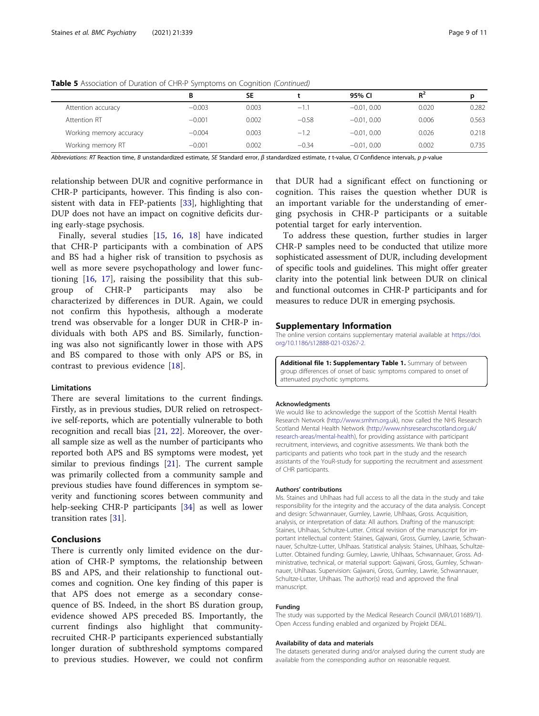|                         | В        | <b>SE</b> |         | 95% CI        | $R^2$ | D     |
|-------------------------|----------|-----------|---------|---------------|-------|-------|
| Attention accuracy      | $-0.003$ | 0.003     | $-1.1$  | $-0.01, 0.00$ | 0.020 | 0.282 |
| Attention RT            | $-0.001$ | 0.002     | $-0.58$ | $-0.01, 0.00$ | 0.006 | 0.563 |
| Working memory accuracy | $-0.004$ | 0.003     | $-1.2$  | $-0.01, 0.00$ | 0.026 | 0.218 |
| Working memory RT       | $-0.001$ | 0.002     | $-0.34$ | $-0.01, 0.00$ | 0.002 | 0.735 |
|                         |          |           |         |               |       |       |

<span id="page-8-0"></span>Table 5 Association of Duration of CHR-P Symptoms on Cognition (Continued)

Abbreviations: RT Reaction time, B unstandardized estimate, SE Standard error, β standardized estimate, t t-value, CI Confidence intervals, p p-value

relationship between DUR and cognitive performance in CHR-P participants, however. This finding is also consistent with data in FEP-patients [\[33\]](#page-10-0), highlighting that DUP does not have an impact on cognitive deficits during early-stage psychosis.

Finally, several studies [[15](#page-9-0), [16,](#page-9-0) [18\]](#page-9-0) have indicated that CHR-P participants with a combination of APS and BS had a higher risk of transition to psychosis as well as more severe psychopathology and lower functioning [[16,](#page-9-0) [17](#page-9-0)], raising the possibility that this subgroup of CHR-P participants may also be characterized by differences in DUR. Again, we could not confirm this hypothesis, although a moderate trend was observable for a longer DUR in CHR-P individuals with both APS and BS. Similarly, functioning was also not significantly lower in those with APS and BS compared to those with only APS or BS, in contrast to previous evidence [\[18](#page-9-0)].

## **Limitations**

There are several limitations to the current findings. Firstly, as in previous studies, DUR relied on retrospective self-reports, which are potentially vulnerable to both recognition and recall bias [\[21](#page-9-0), [22](#page-9-0)]. Moreover, the overall sample size as well as the number of participants who reported both APS and BS symptoms were modest, yet similar to previous findings [\[21](#page-9-0)]. The current sample was primarily collected from a community sample and previous studies have found differences in symptom severity and functioning scores between community and help-seeking CHR-P participants [[34\]](#page-10-0) as well as lower transition rates [\[31](#page-10-0)].

## Conclusions

There is currently only limited evidence on the duration of CHR-P symptoms, the relationship between BS and APS, and their relationship to functional outcomes and cognition. One key finding of this paper is that APS does not emerge as a secondary consequence of BS. Indeed, in the short BS duration group, evidence showed APS preceded BS. Importantly, the current findings also highlight that communityrecruited CHR-P participants experienced substantially longer duration of subthreshold symptoms compared to previous studies. However, we could not confirm that DUR had a significant effect on functioning or cognition. This raises the question whether DUR is an important variable for the understanding of emerging psychosis in CHR-P participants or a suitable potential target for early intervention.

To address these question, further studies in larger CHR-P samples need to be conducted that utilize more sophisticated assessment of DUR, including development of specific tools and guidelines. This might offer greater clarity into the potential link between DUR on clinical and functional outcomes in CHR-P participants and for measures to reduce DUR in emerging psychosis.

## Supplementary Information

The online version contains supplementary material available at [https://doi.](https://doi.org/10.1186/s12888-021-03267-2) [org/10.1186/s12888-021-03267-2.](https://doi.org/10.1186/s12888-021-03267-2)

Additional file 1: Supplementary Table 1. Summary of between group differences of onset of basic symptoms compared to onset of attenuated psychotic symptoms.

#### Acknowledgments

We would like to acknowledge the support of the Scottish Mental Health Research Network [\(http://www.smhrn.org.uk](http://www.smhrn.org.uk)), now called the NHS Research Scotland Mental Health Network [\(http://www.nhsresearchscotland.org.uk/](http://www.nhsresearchscotland.org.uk/research-areas/mental-health) [research-areas/mental-health\)](http://www.nhsresearchscotland.org.uk/research-areas/mental-health), for providing assistance with participant recruitment, interviews, and cognitive assessments. We thank both the participants and patients who took part in the study and the research assistants of the YouR-study for supporting the recruitment and assessment of CHR participants.

#### Authors' contributions

Ms. Staines and Uhlhaas had full access to all the data in the study and take responsibility for the integrity and the accuracy of the data analysis. Concept and design: Schwannauer, Gumley, Lawrie, Uhlhaas, Gross. Acquisition, analysis, or interpretation of data: All authors. Drafting of the manuscript: Staines, Uhlhaas, Schultze-Lutter. Critical revision of the manuscript for important intellectual content: Staines, Gajwani, Gross, Gumley, Lawrie, Schwannauer, Schultze-Lutter, Uhlhaas. Statistical analysis: Staines, Uhlhaas, Schultze-Lutter. Obtained funding: Gumley, Lawrie, Uhlhaas, Schwannauer, Gross. Administrative, technical, or material support: Gajwani, Gross, Gumley, Schwannauer, Uhlhaas. Supervision: Gajwani, Gross, Gumley, Lawrie, Schwannauer, Schultze-Lutter, Uhlhaas. The author(s) read and approved the final manuscript.

#### Funding

The study was supported by the Medical Research Council (MR/L011689/1). Open Access funding enabled and organized by Projekt DEAL.

#### Availability of data and materials

The datasets generated during and/or analysed during the current study are available from the corresponding author on reasonable request.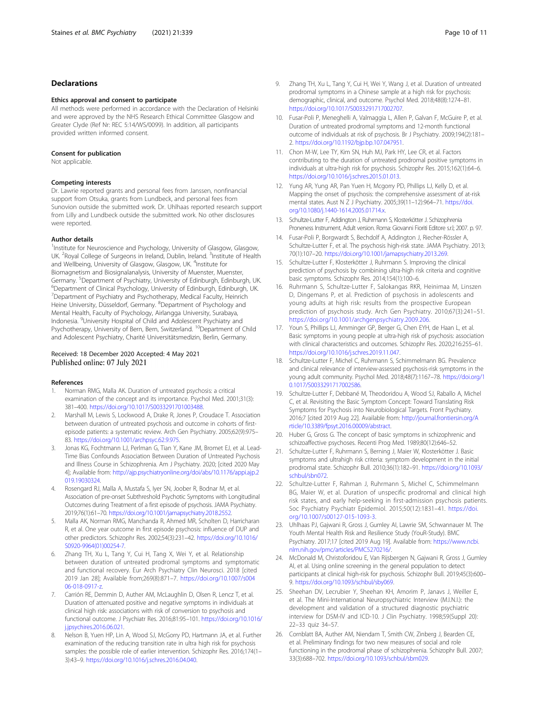## <span id="page-9-0"></span>Declarations

#### Ethics approval and consent to participate

All methods were performed in accordance with the Declaration of Helsinki and were approved by the NHS Research Ethical Committee Glasgow and Greater Clyde (Ref Nr: REC 5:14/WS/0099). In addition, all participants provided written informed consent.

#### Consent for publication

Not applicable.

### Competing interests

Dr. Lawrie reported grants and personal fees from Janssen, nonfinancial support from Otsuka, grants from Lundbeck, and personal fees from Sunovion outside the submitted work. Dr. Uhlhaas reported research support from Lilly and Lundbeck outside the submitted work. No other disclosures were reported.

### Author details

<sup>1</sup>Institute for Neuroscience and Psychology, University of Glasgow, Glasgow, UK. <sup>2</sup> Royal College of Surgeons in Ireland, Dublin, Ireland. <sup>3</sup>Institute of Health and Wellbeing, University of Glasgow, Glasgow, UK. <sup>4</sup>Institute for Biomagnetism and Biosignalanalysis, University of Muenster, Muenster, Germany. <sup>5</sup>Department of Psychiatry, University of Edinburgh, Edinburgh, UK.<br><sup>6</sup>Department of Clinical Psychology, University of Edinburgh, Edinburgh, UK. <sup>6</sup>Department of Clinical Psychology, University of Edinburgh, Edinburgh, UK. <sup>7</sup>Department of Psychiatry and Psychotherapy, Medical Faculty, Heinrich Heine University, Düsseldorf, Germany. <sup>8</sup>Department of Psychology and Mental Health, Faculty of Psychology, Airlangga University, Surabaya, Indonesia. <sup>9</sup> University Hospital of Child and Adolescent Psychiatry and Psychotherapy, University of Bern, Bern, Switzerland. <sup>10</sup>Department of Child and Adolescent Psychiatry, Charité Universitätsmedizin, Berlin, Germany.

## Received: 18 December 2020 Accepted: 4 May 2021 Published online: 07 July 2021

#### References

- 1. Norman RMG, Malla AK. Duration of untreated psychosis: a critical examination of the concept and its importance. Psychol Med. 2001;31(3): 381–400. <https://doi.org/10.1017/S0033291701003488>.
- 2. Marshall M, Lewis S, Lockwood A, Drake R, Jones P, Croudace T. Association between duration of untreated psychosis and outcome in cohorts of firstepisode patients: a systematic review. Arch Gen Psychiatry. 2005;62(9):975– 83. [https://doi.org/10.1001/archpsyc.62.9.975.](https://doi.org/10.1001/archpsyc.62.9.975)
- Jonas KG, Fochtmann LJ, Perlman G, Tian Y, Kane JM, Bromet EJ, et al. Lead-Time Bias Confounds Association Between Duration of Untreated Psychosis and Illness Course in Schizophrenia. Am J Psychiatry. 2020; [cited 2020 May 4]; Available from: [http://ajp.psychiatryonline.org/doi/abs/10.1176/appi.ajp.2](http://dx.doi.org/10.1176/appi.ajp.2019.19030324) [019.19030324](http://dx.doi.org/10.1176/appi.ajp.2019.19030324).
- 4. Rosengard RJ, Malla A, Mustafa S, Iyer SN, Joober R, Bodnar M, et al. Association of pre-onset Subthreshold Psychotic Symptoms with Longitudinal Outcomes during Treatment of a first episode of psychosis. JAMA Psychiatry. 2019;76(1):61–70. <https://doi.org/10.1001/jamapsychiatry.2018.2552>.
- 5. Malla AK, Norman RMG, Manchanda R, Ahmed MR, Scholten D, Harricharan R, et al. One year outcome in first episode psychosis: influence of DUP and other predictors. Schizophr Res. 2002;54(3):231–42. [https://doi.org/10.1016/](https://doi.org/10.1016/S0920-9964(01)00254-7) [S0920-9964\(01\)00254-7](https://doi.org/10.1016/S0920-9964(01)00254-7).
- Zhang TH, Xu L, Tang Y, Cui H, Tang X, Wei Y, et al. Relationship between duration of untreated prodromal symptoms and symptomatic and functional recovery. Eur Arch Psychiatry Clin Neurosci. 2018 [cited 2019 Jan 28]; Available from;269(8):871–7. [https://doi.org/10.1007/s004](https://doi.org/10.1007/s00406-018-0917-z) [06-018-0917-z.](https://doi.org/10.1007/s00406-018-0917-z)
- 7. Carrión RE, Demmin D, Auther AM, McLaughlin D, Olsen R, Lencz T, et al. Duration of attenuated positive and negative symptoms in individuals at clinical high risk: associations with risk of conversion to psychosis and functional outcome. J Psychiatr Res. 2016;81:95–101. [https://doi.org/10.1016/](https://doi.org/10.1016/j.jpsychires.2016.06.021) [j.jpsychires.2016.06.021](https://doi.org/10.1016/j.jpsychires.2016.06.021).
- 8. Nelson B, Yuen HP, Lin A, Wood SJ, McGorry PD, Hartmann JA, et al. Further examination of the reducing transition rate in ultra high risk for psychosis samples: the possible role of earlier intervention. Schizophr Res. 2016;174(1– 3):43–9. <https://doi.org/10.1016/j.schres.2016.04.040>.
- Zhang TH, Xu L, Tang Y, Cui H, Wei Y, Wang J, et al. Duration of untreated prodromal symptoms in a Chinese sample at a high risk for psychosis: demographic, clinical, and outcome. Psychol Med. 2018;48(8):1274–81. [https://doi.org/10.1017/S0033291717002707.](https://doi.org/10.1017/S0033291717002707)
- 10. Fusar-Poli P, Meneghelli A, Valmaggia L, Allen P, Galvan F, McGuire P, et al. Duration of untreated prodromal symptoms and 12-month functional outcome of individuals at risk of psychosis. Br J Psychiatry. 2009;194(2):181– 2. [https://doi.org/10.1192/bjp.bp.107.047951.](https://doi.org/10.1192/bjp.bp.107.047951)
- 11. Chon M-W, Lee TY, Kim SN, Huh MJ, Park HY, Lee CR, et al. Factors contributing to the duration of untreated prodromal positive symptoms in individuals at ultra-high risk for psychosis. Schizophr Res. 2015;162(1):64–6. <https://doi.org/10.1016/j.schres.2015.01.013>.
- 12. Yung AR, Yung AR, Pan Yuen H, Mcgorry PD, Phillips LJ, Kelly D, et al. Mapping the onset of psychosis: the comprehensive assessment of at-risk mental states. Aust N Z J Psychiatry. 2005;39(11–12):964–71. [https://doi.](https://doi.org/10.1080/j.1440-1614.2005.01714.x) [org/10.1080/j.1440-1614.2005.01714.x](https://doi.org/10.1080/j.1440-1614.2005.01714.x).
- 13. Schultze-Lutter F, Addington J, Ruhrmann S, Klosterkötter J. Schizophrenia Proneness Instrument, Adult version. Roma: Giovanni Fioriti Editore s.r.l; 2007. p. 97.
- 14. Fusar-Poli P, Borgwardt S, Bechdolf A, Addington J, Riecher-Rössler A, Schultze-Lutter F, et al. The psychosis high-risk state. JAMA Psychiatry. 2013; 70(1):107–20. <https://doi.org/10.1001/jamapsychiatry.2013.269>.
- 15. Schultze-Lutter F, Klosterkötter J, Ruhrmann S. Improving the clinical prediction of psychosis by combining ultra-high risk criteria and cognitive basic symptoms. Schizophr Res. 2014;154(1):100–6.
- 16. Ruhrmann S, Schultze-Lutter F, Salokangas RKR, Heinimaa M, Linszen D, Dingemans P, et al. Prediction of psychosis in adolescents and young adults at high risk: results from the prospective European prediction of psychosis study. Arch Gen Psychiatry. 2010;67(3):241–51. <https://doi.org/10.1001/archgenpsychiatry.2009.206>.
- 17. Youn S, Phillips LJ, Amminger GP, Berger G, Chen EYH, de Haan L, et al. Basic symptoms in young people at ultra-high risk of psychosis: association with clinical characteristics and outcomes. Schizophr Res. 2020;216:255–61. <https://doi.org/10.1016/j.schres.2019.11.047>.
- 18. Schultze-Lutter F, Michel C, Ruhrmann S, Schimmelmann BG. Prevalence and clinical relevance of interview-assessed psychosis-risk symptoms in the young adult community. Psychol Med. 2018;48(7):1167–78. [https://doi.org/1](https://doi.org/10.1017/S0033291717002586) [0.1017/S0033291717002586](https://doi.org/10.1017/S0033291717002586).
- 19. Schultze-Lutter F, Debbané M, Theodoridou A, Wood SJ, Raballo A, Michel C, et al. Revisiting the Basic Symptom Concept: Toward Translating Risk Symptoms for Psychosis into Neurobiological Targets. Front Psychiatry. 2016;7 [cited 2019 Aug 22]. Available from: [http://journal.frontiersin.org/A](http://dx.doi.org/10.3389/fpsyt.2016.00009/abstract) [rticle/10.3389/fpsyt.2016.00009/abstract](http://dx.doi.org/10.3389/fpsyt.2016.00009/abstract).
- 20. Huber G, Gross G. The concept of basic symptoms in schizophrenic and schizoaffective psychoses. Recenti Prog Med. 1989;80(12):646–52.
- 21. Schultze-Lutter F, Ruhrmann S, Berning J, Maier W, Klosterkötter J. Basic symptoms and ultrahigh risk criteria: symptom development in the initial prodromal state. Schizophr Bull. 2010;36(1):182–91. [https://doi.org/10.1093/](https://doi.org/10.1093/schbul/sbn072) [schbul/sbn072](https://doi.org/10.1093/schbul/sbn072).
- 22. Schultze-Lutter F, Rahman J, Ruhrmann S, Michel C, Schimmelmann BG, Maier W, et al. Duration of unspecific prodromal and clinical high risk states, and early help-seeking in first-admission psychosis patients. Soc Psychiatry Psychiatr Epidemiol. 2015;50(12):1831–41. [https://doi.](https://doi.org/10.1007/s00127-015-1093-3) [org/10.1007/s00127-015-1093-3.](https://doi.org/10.1007/s00127-015-1093-3)
- 23. Uhlhaas PJ, Gajwani R, Gross J, Gumley AI, Lawrie SM, Schwannauer M. The Youth Mental Health Risk and Resilience Study (YouR-Study). BMC Psychiatry. 2017;17 [cited 2019 Aug 19]. Available from: [https://www.ncbi.](https://www.ncbi.nlm.nih.gov/pmc/articles/PMC5270216/) [nlm.nih.gov/pmc/articles/PMC5270216/](https://www.ncbi.nlm.nih.gov/pmc/articles/PMC5270216/).
- 24. McDonald M, Christoforidou E, Van Rijsbergen N, Gajwani R, Gross J, Gumley AI, et al. Using online screening in the general population to detect participants at clinical high-risk for psychosis. Schizophr Bull. 2019;45(3):600– 9. <https://doi.org/10.1093/schbul/sby069>.
- 25. Sheehan DV, Lecrubier Y, Sheehan KH, Amorim P, Janavs J, Weiller E, et al. The Mini-International Neuropsychiatric Interview (M.I.N.I.): the development and validation of a structured diagnostic psychiatric interview for DSM-IV and ICD-10. J Clin Psychiatry. 1998;59(Suppl 20): 22–33 quiz 34–57.
- 26. Cornblatt BA, Auther AM, Niendam T, Smith CW, Zinberg J, Bearden CE, et al. Preliminary findings for two new measures of social and role functioning in the prodromal phase of schizophrenia. Schizophr Bull. 2007; 33(3):688–702. [https://doi.org/10.1093/schbul/sbm029.](https://doi.org/10.1093/schbul/sbm029)